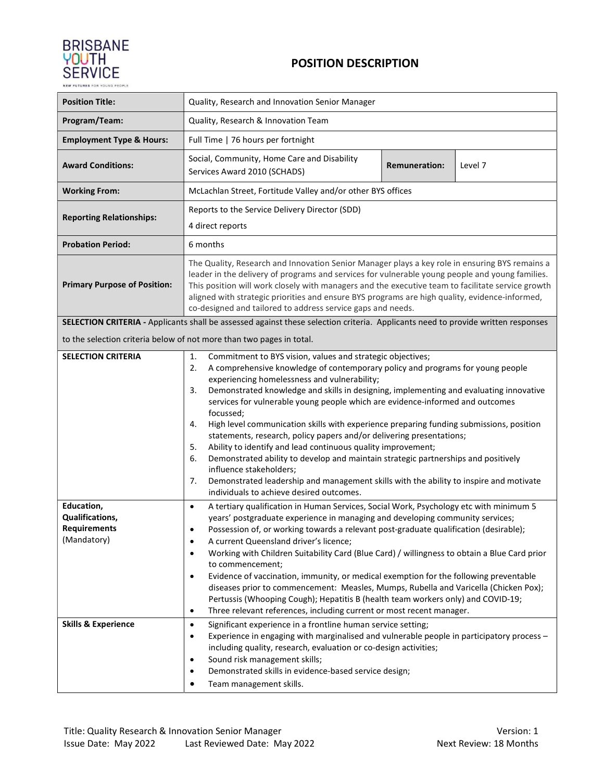

## POSITION DESCRIPTION

| <b>Position Title:</b>                                                                                | Quality, Research and Innovation Senior Manager                                                                                                                                                                                                                                                                                                                                                                                                                                                                                                                                                                                                                                                                                                                                                                                                                                                                                                                                                                                                                                                                                                                                                                                           |  |  |  |  |  |  |
|-------------------------------------------------------------------------------------------------------|-------------------------------------------------------------------------------------------------------------------------------------------------------------------------------------------------------------------------------------------------------------------------------------------------------------------------------------------------------------------------------------------------------------------------------------------------------------------------------------------------------------------------------------------------------------------------------------------------------------------------------------------------------------------------------------------------------------------------------------------------------------------------------------------------------------------------------------------------------------------------------------------------------------------------------------------------------------------------------------------------------------------------------------------------------------------------------------------------------------------------------------------------------------------------------------------------------------------------------------------|--|--|--|--|--|--|
| Program/Team:                                                                                         | Quality, Research & Innovation Team                                                                                                                                                                                                                                                                                                                                                                                                                                                                                                                                                                                                                                                                                                                                                                                                                                                                                                                                                                                                                                                                                                                                                                                                       |  |  |  |  |  |  |
| <b>Employment Type &amp; Hours:</b>                                                                   | Full Time   76 hours per fortnight                                                                                                                                                                                                                                                                                                                                                                                                                                                                                                                                                                                                                                                                                                                                                                                                                                                                                                                                                                                                                                                                                                                                                                                                        |  |  |  |  |  |  |
| <b>Award Conditions:</b>                                                                              | Social, Community, Home Care and Disability<br><b>Remuneration:</b><br>Level 7<br>Services Award 2010 (SCHADS)                                                                                                                                                                                                                                                                                                                                                                                                                                                                                                                                                                                                                                                                                                                                                                                                                                                                                                                                                                                                                                                                                                                            |  |  |  |  |  |  |
| <b>Working From:</b>                                                                                  | McLachlan Street, Fortitude Valley and/or other BYS offices                                                                                                                                                                                                                                                                                                                                                                                                                                                                                                                                                                                                                                                                                                                                                                                                                                                                                                                                                                                                                                                                                                                                                                               |  |  |  |  |  |  |
| <b>Reporting Relationships:</b>                                                                       | Reports to the Service Delivery Director (SDD)<br>4 direct reports                                                                                                                                                                                                                                                                                                                                                                                                                                                                                                                                                                                                                                                                                                                                                                                                                                                                                                                                                                                                                                                                                                                                                                        |  |  |  |  |  |  |
| <b>Probation Period:</b>                                                                              | 6 months                                                                                                                                                                                                                                                                                                                                                                                                                                                                                                                                                                                                                                                                                                                                                                                                                                                                                                                                                                                                                                                                                                                                                                                                                                  |  |  |  |  |  |  |
| <b>Primary Purpose of Position:</b>                                                                   | The Quality, Research and Innovation Senior Manager plays a key role in ensuring BYS remains a<br>leader in the delivery of programs and services for vulnerable young people and young families.<br>This position will work closely with managers and the executive team to facilitate service growth<br>aligned with strategic priorities and ensure BYS programs are high quality, evidence-informed,<br>co-designed and tailored to address service gaps and needs.                                                                                                                                                                                                                                                                                                                                                                                                                                                                                                                                                                                                                                                                                                                                                                   |  |  |  |  |  |  |
|                                                                                                       | SELECTION CRITERIA - Applicants shall be assessed against these selection criteria. Applicants need to provide written responses                                                                                                                                                                                                                                                                                                                                                                                                                                                                                                                                                                                                                                                                                                                                                                                                                                                                                                                                                                                                                                                                                                          |  |  |  |  |  |  |
|                                                                                                       | to the selection criteria below of not more than two pages in total.                                                                                                                                                                                                                                                                                                                                                                                                                                                                                                                                                                                                                                                                                                                                                                                                                                                                                                                                                                                                                                                                                                                                                                      |  |  |  |  |  |  |
| <b>SELECTION CRITERIA</b>                                                                             | 1.<br>Commitment to BYS vision, values and strategic objectives;<br>A comprehensive knowledge of contemporary policy and programs for young people<br>2.<br>experiencing homelessness and vulnerability;<br>Demonstrated knowledge and skills in designing, implementing and evaluating innovative<br>3.<br>services for vulnerable young people which are evidence-informed and outcomes<br>focussed;<br>High level communication skills with experience preparing funding submissions, position<br>4.<br>statements, research, policy papers and/or delivering presentations;<br>Ability to identify and lead continuous quality improvement;<br>5.<br>6.<br>Demonstrated ability to develop and maintain strategic partnerships and positively<br>influence stakeholders;<br>Demonstrated leadership and management skills with the ability to inspire and motivate<br>7.<br>individuals to achieve desired outcomes.                                                                                                                                                                                                                                                                                                                  |  |  |  |  |  |  |
| Education,<br>Qualifications,<br><b>Requirements</b><br>(Mandatory)<br><b>Skills &amp; Experience</b> | A tertiary qualification in Human Services, Social Work, Psychology etc with minimum 5<br>$\bullet$<br>years' postgraduate experience in managing and developing community services;<br>Possession of, or working towards a relevant post-graduate qualification (desirable);<br>A current Queensland driver's licence;<br>$\bullet$<br>Working with Children Suitability Card (Blue Card) / willingness to obtain a Blue Card prior<br>$\bullet$<br>to commencement;<br>Evidence of vaccination, immunity, or medical exemption for the following preventable<br>$\bullet$<br>diseases prior to commencement: Measles, Mumps, Rubella and Varicella (Chicken Pox);<br>Pertussis (Whooping Cough); Hepatitis B (health team workers only) and COVID-19;<br>Three relevant references, including current or most recent manager.<br>$\bullet$<br>Significant experience in a frontline human service setting;<br>$\bullet$<br>Experience in engaging with marginalised and vulnerable people in participatory process -<br>$\bullet$<br>including quality, research, evaluation or co-design activities;<br>Sound risk management skills;<br>$\bullet$<br>Demonstrated skills in evidence-based service design;<br>Team management skills. |  |  |  |  |  |  |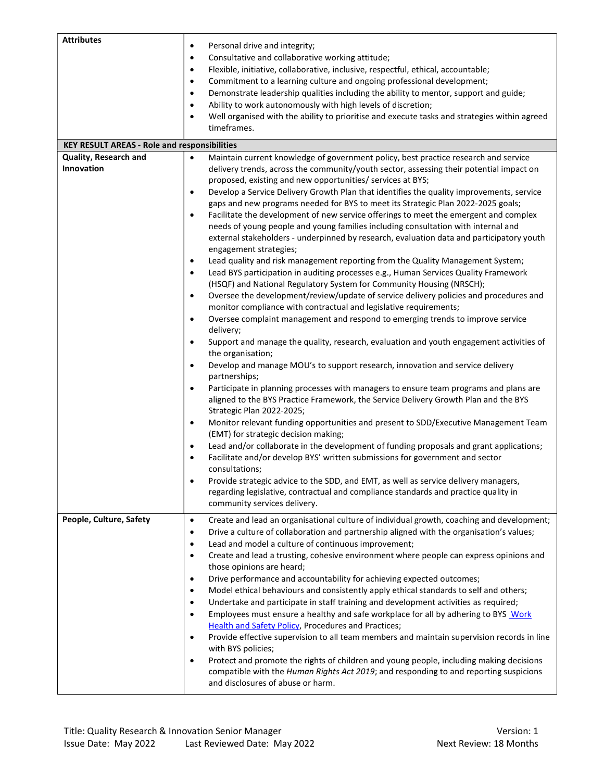| <b>Attributes</b>                                                                                                                                                                | Personal drive and integrity;<br>$\bullet$<br>Consultative and collaborative working attitude;<br>$\bullet$<br>Flexible, initiative, collaborative, inclusive, respectful, ethical, accountable;<br>$\bullet$<br>Commitment to a learning culture and ongoing professional development;<br>$\bullet$<br>Demonstrate leadership qualities including the ability to mentor, support and guide;<br>$\bullet$<br>Ability to work autonomously with high levels of discretion;<br>$\bullet$<br>Well organised with the ability to prioritise and execute tasks and strategies within agreed<br>$\bullet$<br>timeframes.                                                                                                                                                                                                                                                                                                                                                                                                                                                                                                                                                                                                                                                                                                                                                                                                                                                                                                                                                                                                                                                                                                                                                                                                                                                                                                                                                                                                                                                                                                                                                                                                                                                                          |  |  |  |  |  |  |  |  |
|----------------------------------------------------------------------------------------------------------------------------------------------------------------------------------|---------------------------------------------------------------------------------------------------------------------------------------------------------------------------------------------------------------------------------------------------------------------------------------------------------------------------------------------------------------------------------------------------------------------------------------------------------------------------------------------------------------------------------------------------------------------------------------------------------------------------------------------------------------------------------------------------------------------------------------------------------------------------------------------------------------------------------------------------------------------------------------------------------------------------------------------------------------------------------------------------------------------------------------------------------------------------------------------------------------------------------------------------------------------------------------------------------------------------------------------------------------------------------------------------------------------------------------------------------------------------------------------------------------------------------------------------------------------------------------------------------------------------------------------------------------------------------------------------------------------------------------------------------------------------------------------------------------------------------------------------------------------------------------------------------------------------------------------------------------------------------------------------------------------------------------------------------------------------------------------------------------------------------------------------------------------------------------------------------------------------------------------------------------------------------------------------------------------------------------------------------------------------------------------|--|--|--|--|--|--|--|--|
| <b>KEY RESULT AREAS - Role and responsibilities</b><br>Quality, Research and<br>Maintain current knowledge of government policy, best practice research and service<br>$\bullet$ |                                                                                                                                                                                                                                                                                                                                                                                                                                                                                                                                                                                                                                                                                                                                                                                                                                                                                                                                                                                                                                                                                                                                                                                                                                                                                                                                                                                                                                                                                                                                                                                                                                                                                                                                                                                                                                                                                                                                                                                                                                                                                                                                                                                                                                                                                             |  |  |  |  |  |  |  |  |
| Innovation                                                                                                                                                                       | delivery trends, across the community/youth sector, assessing their potential impact on<br>proposed, existing and new opportunities/ services at BYS;<br>Develop a Service Delivery Growth Plan that identifies the quality improvements, service<br>$\bullet$<br>gaps and new programs needed for BYS to meet its Strategic Plan 2022-2025 goals;<br>Facilitate the development of new service offerings to meet the emergent and complex<br>$\bullet$<br>needs of young people and young families including consultation with internal and<br>external stakeholders - underpinned by research, evaluation data and participatory youth<br>engagement strategies;<br>Lead quality and risk management reporting from the Quality Management System;<br>$\bullet$<br>Lead BYS participation in auditing processes e.g., Human Services Quality Framework<br>$\bullet$<br>(HSQF) and National Regulatory System for Community Housing (NRSCH);<br>Oversee the development/review/update of service delivery policies and procedures and<br>$\bullet$<br>monitor compliance with contractual and legislative requirements;<br>Oversee complaint management and respond to emerging trends to improve service<br>$\bullet$<br>delivery;<br>Support and manage the quality, research, evaluation and youth engagement activities of<br>$\bullet$<br>the organisation;<br>Develop and manage MOU's to support research, innovation and service delivery<br>$\bullet$<br>partnerships;<br>Participate in planning processes with managers to ensure team programs and plans are<br>$\bullet$<br>aligned to the BYS Practice Framework, the Service Delivery Growth Plan and the BYS<br>Strategic Plan 2022-2025;<br>Monitor relevant funding opportunities and present to SDD/Executive Management Team<br>$\bullet$<br>(EMT) for strategic decision making;<br>Lead and/or collaborate in the development of funding proposals and grant applications;<br>$\bullet$<br>Facilitate and/or develop BYS' written submissions for government and sector<br>$\bullet$<br>consultations;<br>Provide strategic advice to the SDD, and EMT, as well as service delivery managers,<br>regarding legislative, contractual and compliance standards and practice quality in<br>community services delivery. |  |  |  |  |  |  |  |  |
| People, Culture, Safety                                                                                                                                                          | Create and lead an organisational culture of individual growth, coaching and development;<br>$\bullet$<br>Drive a culture of collaboration and partnership aligned with the organisation's values;<br>٠<br>Lead and model a culture of continuous improvement;<br>٠<br>Create and lead a trusting, cohesive environment where people can express opinions and<br>٠<br>those opinions are heard;<br>Drive performance and accountability for achieving expected outcomes;<br>$\bullet$<br>Model ethical behaviours and consistently apply ethical standards to self and others;<br>$\bullet$<br>Undertake and participate in staff training and development activities as required;<br>$\bullet$<br>Employees must ensure a healthy and safe workplace for all by adhering to BYS Work<br>$\bullet$<br>Health and Safety Policy, Procedures and Practices;<br>Provide effective supervision to all team members and maintain supervision records in line<br>$\bullet$<br>with BYS policies;<br>Protect and promote the rights of children and young people, including making decisions<br>٠<br>compatible with the Human Rights Act 2019; and responding to and reporting suspicions<br>and disclosures of abuse or harm.                                                                                                                                                                                                                                                                                                                                                                                                                                                                                                                                                                                                                                                                                                                                                                                                                                                                                                                                                                                                                                                                    |  |  |  |  |  |  |  |  |